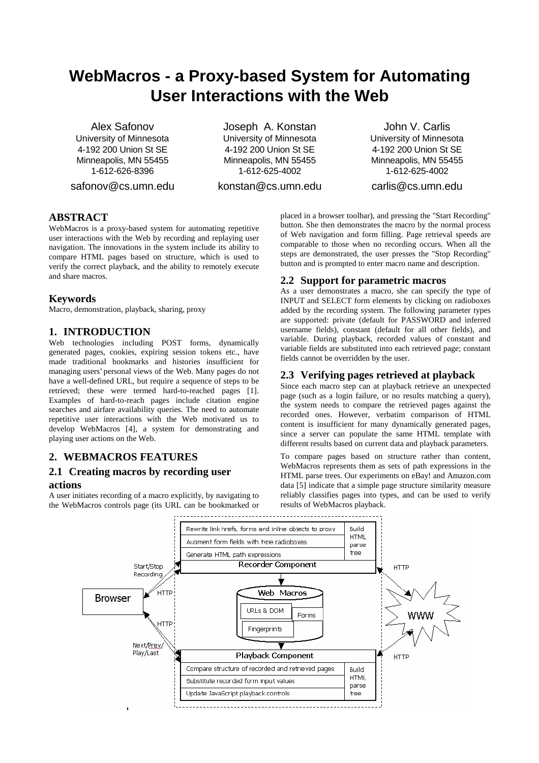# **WebMacros - a Proxy-based System for Automating User Interactions with the Web**

Alex Safonov University of Minnesota 4-192 200 Union St SE Minneapolis, MN 55455 1-612-626-8396

safonov@cs.umn.edu

Joseph A. Konstan University of Minnesota 4-192 200 Union St SE Minneapolis, MN 55455 1-612-625-4002

konstan@cs.umn.edu

John V. Carlis University of Minnesota 4-192 200 Union St SE Minneapolis, MN 55455 1-612-625-4002

carlis@cs.umn.edu

# **ABSTRACT**

WebMacros is a proxy-based system for automating repetitive user interactions with the Web by recording and replaying user navigation. The innovations in the system include its ability to compare HTML pages based on structure, which is used to verify the correct playback, and the ability to remotely execute and share macros.

### **Keywords**

Macro, demonstration, playback, sharing, proxy

## **1. INTRODUCTION**

Web technologies including POST forms, dynamically generated pages, cookies, expiring session tokens etc., have made traditional bookmarks and histories insufficient for managing users'personal views of the Web. Many pages do not have a well-defined URL, but require a sequence of steps to be retrieved; these were termed hard-to-reached pages [1]. Examples of hard-to-reach pages include citation engine searches and airfare availability queries. The need to automate repetitive user interactions with the Web motivated us to develop WebMacros [4], a system for demonstrating and playing user actions on the Web.

# **2. WEBMACROS FEATURES**

### **2.1 Creating macros by recording user actions**

A user initiates recording of a macro explicitly, by navigating to the WebMacros controls page (its URL can be bookmarked or placed in a browser toolbar), and pressing the "Start Recording" button. She then demonstrates the macro by the normal process of Web navigation and form filling. Page retrieval speeds are comparable to those when no recording occurs. When all the steps are demonstrated, the user presses the "Stop Recording" button and is prompted to enter macro name and description.

### **2.2 Support for parametric macros**

As a user demonstrates a macro, she can specify the type of INPUT and SELECT form elements by clicking on radioboxes added by the recording system. The following parameter types are supported: private (default for PASSWORD and inferred username fields), constant (default for all other fields), and variable. During playback, recorded values of constant and variable fields are substituted into each retrieved page; constant fields cannot be overridden by the user.

# **2.3 Verifying pages retrieved at playback**

Since each macro step can at playback retrieve an unexpected page (such as a login failure, or no results matching a query), the system needs to compare the retrieved pages against the recorded ones. However, verbatim comparison of HTML content is insufficient for many dynamically generated pages, since a server can populate the same HTML template with different results based on current data and playback parameters.

To compare pages based on structure rather than content, WebMacros represents them as sets of path expressions in the HTML parse trees. Our experiments on eBay! and Amazon.com data [5] indicate that a simple page structure similarity measure reliably classifies pages into types, and can be used to verify results of WebMacros playback.